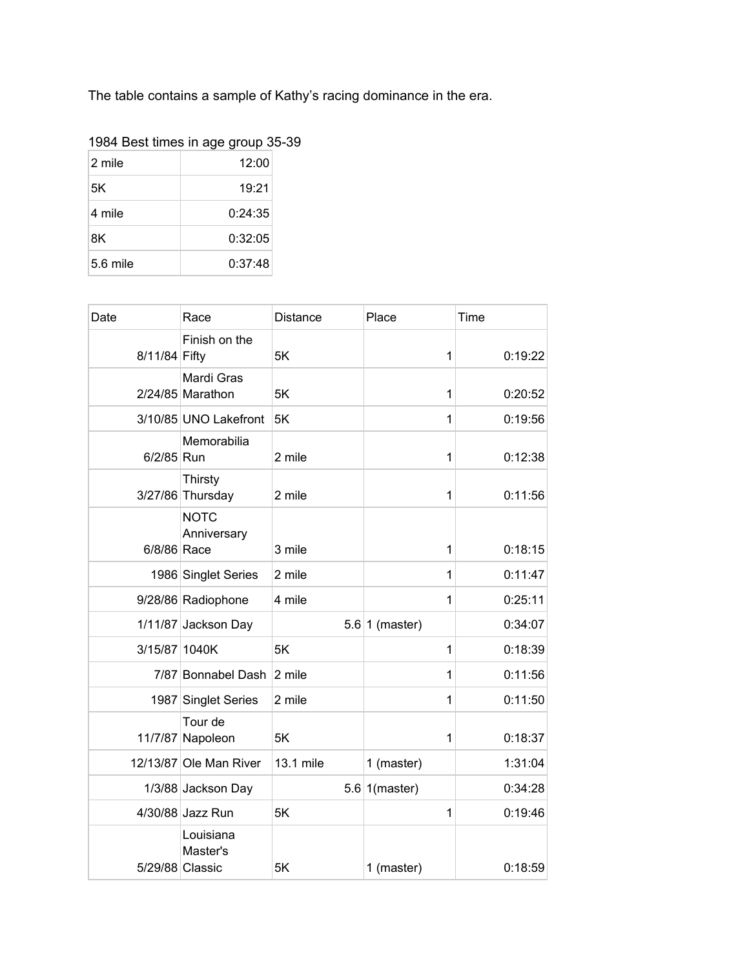The table contains a sample of Kathy's racing dominance in the era.

| 1984 Best times in age group 35-39 |  |  |
|------------------------------------|--|--|
|                                    |  |  |

| 2 mile     | 12:00   |  |  |
|------------|---------|--|--|
| 5K         | 19:21   |  |  |
| 4 mile     | 0:24:35 |  |  |
| 8K         | 0:32:05 |  |  |
| $5.6$ mile | 0:37:48 |  |  |

| Date          | Race                                     | <b>Distance</b> | Place            | Time    |
|---------------|------------------------------------------|-----------------|------------------|---------|
| 8/11/84 Fifty | Finish on the                            | 5K              | $\mathbf 1$      | 0:19:22 |
|               | Mardi Gras<br>$2/24/85$ Marathon         | 5K              | 1                | 0:20:52 |
|               | 3/10/85 UNO Lakefront                    | 5K              | 1                | 0:19:56 |
| 6/2/85 Run    | Memorabilia                              | 2 mile          | 1                | 0:12:38 |
|               | Thirsty<br>3/27/86 Thursday              | 2 mile          | 1                | 0:11:56 |
| 6/8/86 Race   | <b>NOTC</b><br>Anniversary               | 3 mile          | 1                | 0:18:15 |
|               | 1986 Singlet Series                      | 2 mile          | 1                | 0:11:47 |
|               | 9/28/86 Radiophone                       | 4 mile          | 1                | 0:25:11 |
|               | 1/11/87 Jackson Day                      |                 | $5.6 1$ (master) | 0:34:07 |
| 3/15/87 1040K |                                          | 5K              | $\mathbf 1$      | 0:18:39 |
|               | 7/87 Bonnabel Dash                       | 2 mile          | $\mathbf 1$      | 0:11:56 |
| 1987          | <b>Singlet Series</b>                    | 2 mile          | 1                | 0:11:50 |
| 11/7/87       | Tour de<br>Napoleon                      | 5K              | 1                | 0:18:37 |
|               | 12/13/87 Ole Man River                   | 13.1 mile       | 1 (master)       | 1:31:04 |
|               | 1/3/88 Jackson Day                       |                 | 5.6 1(master)    | 0:34:28 |
|               | 4/30/88 Jazz Run                         | 5K              | 1                | 0:19:46 |
|               | Louisiana<br>Master's<br>5/29/88 Classic | 5K              | 1 (master)       | 0:18:59 |